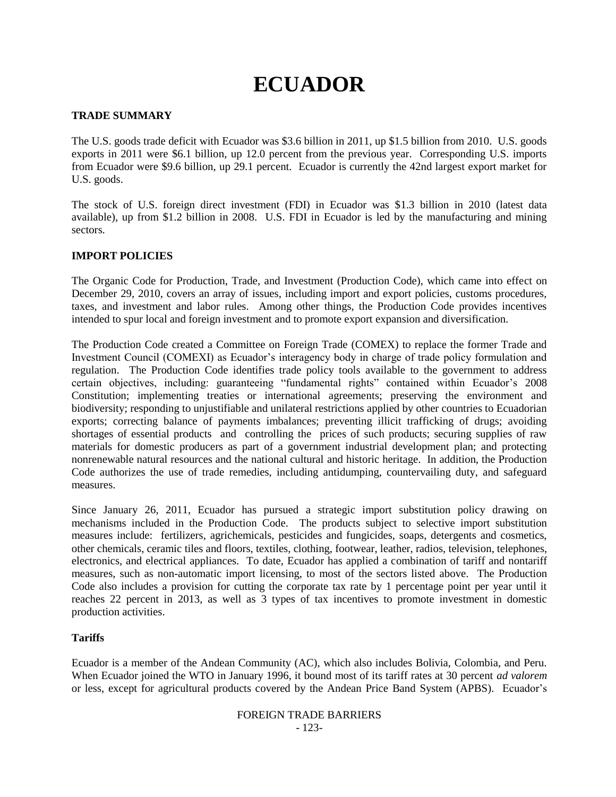# **ECUADOR**

## **TRADE SUMMARY**

The U.S. goods trade deficit with Ecuador was \$3.6 billion in 2011, up \$1.5 billion from 2010. U.S. goods exports in 2011 were \$6.1 billion, up 12.0 percent from the previous year. Corresponding U.S. imports from Ecuador were \$9.6 billion, up 29.1 percent. Ecuador is currently the 42nd largest export market for U.S. goods.

The stock of U.S. foreign direct investment (FDI) in Ecuador was \$1.3 billion in 2010 (latest data available), up from \$1.2 billion in 2008. U.S. FDI in Ecuador is led by the manufacturing and mining sectors.

## **IMPORT POLICIES**

The Organic Code for Production, Trade, and Investment (Production Code), which came into effect on December 29, 2010, covers an array of issues, including import and export policies, customs procedures, taxes, and investment and labor rules. Among other things, the Production Code provides incentives intended to spur local and foreign investment and to promote export expansion and diversification.

The Production Code created a Committee on Foreign Trade (COMEX) to replace the former Trade and Investment Council (COMEXI) as Ecuador's interagency body in charge of trade policy formulation and regulation. The Production Code identifies trade policy tools available to the government to address certain objectives, including: guaranteeing "fundamental rights" contained within Ecuador"s 2008 Constitution; implementing treaties or international agreements; preserving the environment and biodiversity; responding to unjustifiable and unilateral restrictions applied by other countries to Ecuadorian exports; correcting balance of payments imbalances; preventing illicit trafficking of drugs; avoiding shortages of essential products and controlling the prices of such products; securing supplies of raw materials for domestic producers as part of a government industrial development plan; and protecting nonrenewable natural resources and the national cultural and historic heritage. In addition, the Production Code authorizes the use of trade remedies, including antidumping, countervailing duty, and safeguard measures.

Since January 26, 2011, Ecuador has pursued a strategic import substitution policy drawing on mechanisms included in the Production Code. The products subject to selective import substitution measures include: fertilizers, agrichemicals, pesticides and fungicides, soaps, detergents and cosmetics, other chemicals, ceramic tiles and floors, textiles, clothing, footwear, leather, radios, television, telephones, electronics, and electrical appliances. To date, Ecuador has applied a combination of tariff and nontariff measures, such as non-automatic import licensing, to most of the sectors listed above. The Production Code also includes a provision for cutting the corporate tax rate by 1 percentage point per year until it reaches 22 percent in 2013, as well as 3 types of tax incentives to promote investment in domestic production activities.

## **Tariffs**

Ecuador is a member of the Andean Community (AC), which also includes Bolivia, Colombia, and Peru. When Ecuador joined the WTO in January 1996, it bound most of its tariff rates at 30 percent *ad valorem* or less, except for agricultural products covered by the Andean Price Band System (APBS). Ecuador"s

### FOREIGN TRADE BARRIERS - 123-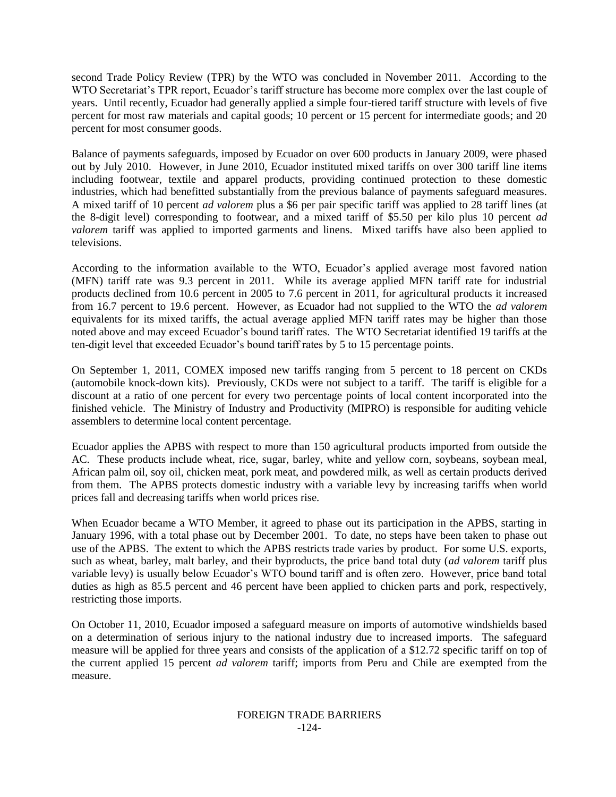second Trade Policy Review (TPR) by the WTO was concluded in November 2011. According to the WTO Secretariat's TPR report, Ecuador's tariff structure has become more complex over the last couple of years. Until recently, Ecuador had generally applied a simple four-tiered tariff structure with levels of five percent for most raw materials and capital goods; 10 percent or 15 percent for intermediate goods; and 20 percent for most consumer goods.

Balance of payments safeguards, imposed by Ecuador on over 600 products in January 2009, were phased out by July 2010. However, in June 2010, Ecuador instituted mixed tariffs on over 300 tariff line items including footwear, textile and apparel products, providing continued protection to these domestic industries, which had benefitted substantially from the previous balance of payments safeguard measures. A mixed tariff of 10 percent *ad valorem* plus a \$6 per pair specific tariff was applied to 28 tariff lines (at the 8-digit level) corresponding to footwear, and a mixed tariff of \$5.50 per kilo plus 10 percent *ad valorem* tariff was applied to imported garments and linens. Mixed tariffs have also been applied to televisions.

According to the information available to the WTO, Ecuador"s applied average most favored nation (MFN) tariff rate was 9.3 percent in 2011. While its average applied MFN tariff rate for industrial products declined from 10.6 percent in 2005 to 7.6 percent in 2011, for agricultural products it increased from 16.7 percent to 19.6 percent. However, as Ecuador had not supplied to the WTO the *ad valorem*  equivalents for its mixed tariffs, the actual average applied MFN tariff rates may be higher than those noted above and may exceed Ecuador"s bound tariff rates. The WTO Secretariat identified 19 tariffs at the ten-digit level that exceeded Ecuador"s bound tariff rates by 5 to 15 percentage points.

On September 1, 2011, COMEX imposed new tariffs ranging from 5 percent to 18 percent on CKDs (automobile knock-down kits). Previously, CKDs were not subject to a tariff. The tariff is eligible for a discount at a ratio of one percent for every two percentage points of local content incorporated into the finished vehicle. The Ministry of Industry and Productivity (MIPRO) is responsible for auditing vehicle assemblers to determine local content percentage.

Ecuador applies the APBS with respect to more than 150 agricultural products imported from outside the AC. These products include wheat, rice, sugar, barley, white and yellow corn, soybeans, soybean meal, African palm oil, soy oil, chicken meat, pork meat, and powdered milk, as well as certain products derived from them. The APBS protects domestic industry with a variable levy by increasing tariffs when world prices fall and decreasing tariffs when world prices rise.

When Ecuador became a WTO Member, it agreed to phase out its participation in the APBS, starting in January 1996, with a total phase out by December 2001. To date, no steps have been taken to phase out use of the APBS. The extent to which the APBS restricts trade varies by product. For some U.S. exports, such as wheat, barley, malt barley, and their byproducts, the price band total duty (*ad valorem* tariff plus variable levy) is usually below Ecuador's WTO bound tariff and is often zero. However, price band total duties as high as 85.5 percent and 46 percent have been applied to chicken parts and pork, respectively, restricting those imports.

On October 11, 2010, Ecuador imposed a safeguard measure on imports of automotive windshields based on a determination of serious injury to the national industry due to increased imports. The safeguard measure will be applied for three years and consists of the application of a \$12.72 specific tariff on top of the current applied 15 percent *ad valorem* tariff; imports from Peru and Chile are exempted from the measure.

#### FOREIGN TRADE BARRIERS -124-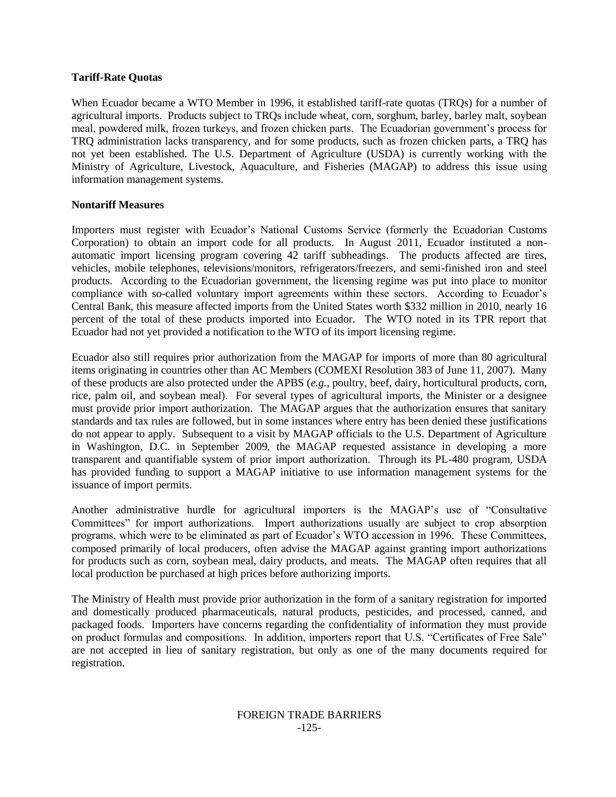### **Tariff-Rate Quotas**

When Ecuador became a WTO Member in 1996, it established tariff-rate quotas (TRQs) for a number of agricultural imports. Products subject to TRQs include wheat, corn, sorghum, barley, barley malt, soybean meal, powdered milk, frozen turkeys, and frozen chicken parts. The Ecuadorian government"s process for TRQ administration lacks transparency, and for some products, such as frozen chicken parts, a TRQ has not yet been established. The U.S. Department of Agriculture (USDA) is currently working with the Ministry of Agriculture, Livestock, Aquaculture, and Fisheries (MAGAP) to address this issue using information management systems.

## **Nontariff Measures**

Importers must register with Ecuador"s National Customs Service (formerly the Ecuadorian Customs Corporation) to obtain an import code for all products. In August 2011, Ecuador instituted a nonautomatic import licensing program covering 42 tariff subheadings. The products affected are tires, vehicles, mobile telephones, televisions/monitors, refrigerators/freezers, and semi-finished iron and steel products. According to the Ecuadorian government, the licensing regime was put into place to monitor compliance with so-called voluntary import agreements within these sectors. According to Ecuador's Central Bank, this measure affected imports from the United States worth \$332 million in 2010, nearly 16 percent of the total of these products imported into Ecuador. The WTO noted in its TPR report that Ecuador had not yet provided a notification to the WTO of its import licensing regime.

Ecuador also still requires prior authorization from the MAGAP for imports of more than 80 agricultural items originating in countries other than AC Members (COMEXI Resolution 383 of June 11, 2007). Many of these products are also protected under the APBS (*e.g.*, poultry, beef, dairy, horticultural products, corn, rice, palm oil, and soybean meal). For several types of agricultural imports, the Minister or a designee must provide prior import authorization. The MAGAP argues that the authorization ensures that sanitary standards and tax rules are followed, but in some instances where entry has been denied these justifications do not appear to apply. Subsequent to a visit by MAGAP officials to the U.S. Department of Agriculture in Washington, D.C. in September 2009, the MAGAP requested assistance in developing a more transparent and quantifiable system of prior import authorization. Through its PL-480 program, USDA has provided funding to support a MAGAP initiative to use information management systems for the issuance of import permits.

Another administrative hurdle for agricultural importers is the MAGAP"s use of "Consultative Committees" for import authorizations. Import authorizations usually are subject to crop absorption programs, which were to be eliminated as part of Ecuador"s WTO accession in 1996. These Committees, composed primarily of local producers, often advise the MAGAP against granting import authorizations for products such as corn, soybean meal, dairy products, and meats. The MAGAP often requires that all local production be purchased at high prices before authorizing imports.

The Ministry of Health must provide prior authorization in the form of a sanitary registration for imported and domestically produced pharmaceuticals, natural products, pesticides, and processed, canned, and packaged foods. Importers have concerns regarding the confidentiality of information they must provide on product formulas and compositions. In addition, importers report that U.S. "Certificates of Free Sale" are not accepted in lieu of sanitary registration, but only as one of the many documents required for registration.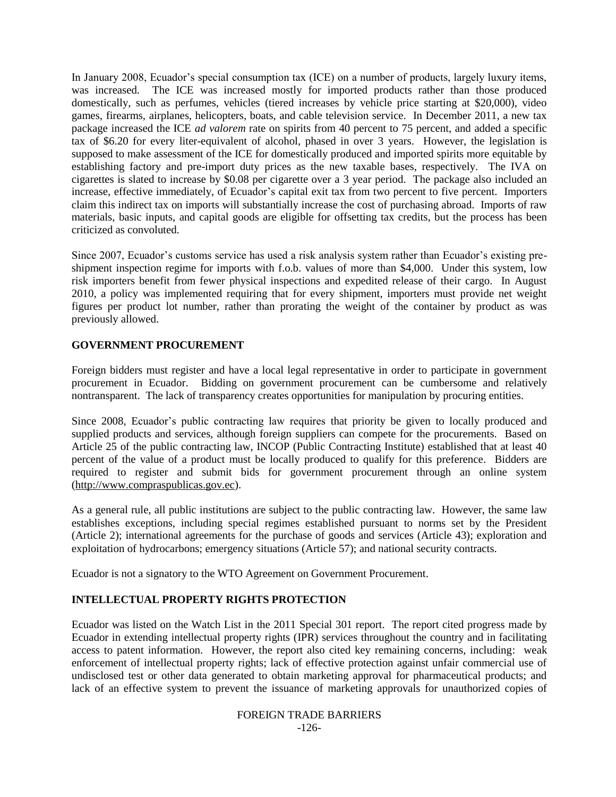In January 2008, Ecuador's special consumption tax (ICE) on a number of products, largely luxury items, was increased. The ICE was increased mostly for imported products rather than those produced domestically, such as perfumes, vehicles (tiered increases by vehicle price starting at \$20,000), video games, firearms, airplanes, helicopters, boats, and cable television service. In December 2011, a new tax package increased the ICE *ad valorem* rate on spirits from 40 percent to 75 percent, and added a specific tax of \$6.20 for every liter-equivalent of alcohol, phased in over 3 years. However, the legislation is supposed to make assessment of the ICE for domestically produced and imported spirits more equitable by establishing factory and pre-import duty prices as the new taxable bases, respectively. The IVA on cigarettes is slated to increase by \$0.08 per cigarette over a 3 year period. The package also included an increase, effective immediately, of Ecuador's capital exit tax from two percent to five percent. Importers claim this indirect tax on imports will substantially increase the cost of purchasing abroad. Imports of raw materials, basic inputs, and capital goods are eligible for offsetting tax credits, but the process has been criticized as convoluted.

Since 2007, Ecuador"s customs service has used a risk analysis system rather than Ecuador"s existing preshipment inspection regime for imports with f.o.b. values of more than \$4,000. Under this system, low risk importers benefit from fewer physical inspections and expedited release of their cargo. In August 2010, a policy was implemented requiring that for every shipment, importers must provide net weight figures per product lot number, rather than prorating the weight of the container by product as was previously allowed.

## **GOVERNMENT PROCUREMENT**

Foreign bidders must register and have a local legal representative in order to participate in government procurement in Ecuador. Bidding on government procurement can be cumbersome and relatively nontransparent. The lack of transparency creates opportunities for manipulation by procuring entities.

Since 2008, Ecuador's public contracting law requires that priority be given to locally produced and supplied products and services, although foreign suppliers can compete for the procurements. Based on Article 25 of the public contracting law, INCOP (Public Contracting Institute) established that at least 40 percent of the value of a product must be locally produced to qualify for this preference. Bidders are required to register and submit bids for government procurement through an online system (http://www.compraspublicas.gov.ec).

As a general rule, all public institutions are subject to the public contracting law. However, the same law establishes exceptions, including special regimes established pursuant to norms set by the President (Article 2); international agreements for the purchase of goods and services (Article 43); exploration and exploitation of hydrocarbons; emergency situations (Article 57); and national security contracts.

Ecuador is not a signatory to the WTO Agreement on Government Procurement.

# **INTELLECTUAL PROPERTY RIGHTS PROTECTION**

Ecuador was listed on the Watch List in the 2011 Special 301 report. The report cited progress made by Ecuador in extending intellectual property rights (IPR) services throughout the country and in facilitating access to patent information. However, the report also cited key remaining concerns, including: weak enforcement of intellectual property rights; lack of effective protection against unfair commercial use of undisclosed test or other data generated to obtain marketing approval for pharmaceutical products; and lack of an effective system to prevent the issuance of marketing approvals for unauthorized copies of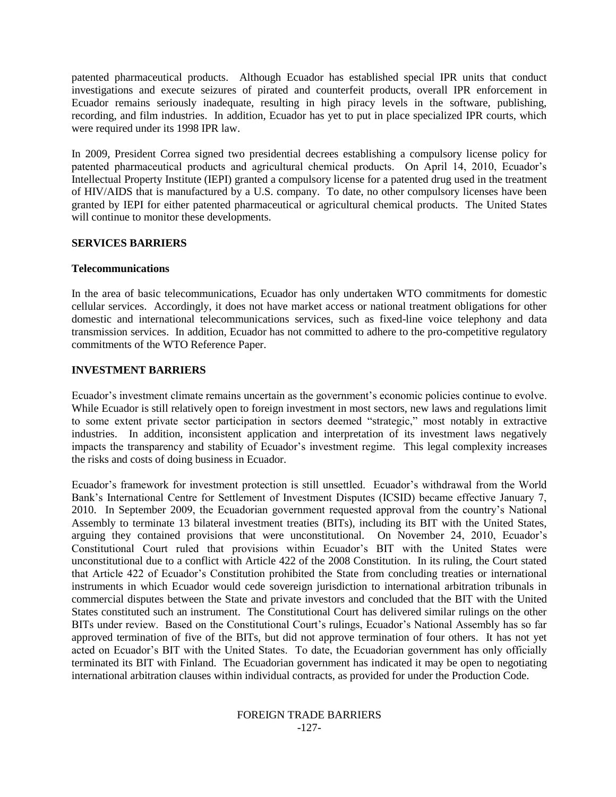patented pharmaceutical products. Although Ecuador has established special IPR units that conduct investigations and execute seizures of pirated and counterfeit products, overall IPR enforcement in Ecuador remains seriously inadequate, resulting in high piracy levels in the software, publishing, recording, and film industries. In addition, Ecuador has yet to put in place specialized IPR courts, which were required under its 1998 IPR law.

In 2009, President Correa signed two presidential decrees establishing a compulsory license policy for patented pharmaceutical products and agricultural chemical products. On April 14, 2010, Ecuador's Intellectual Property Institute (IEPI) granted a compulsory license for a patented drug used in the treatment of HIV/AIDS that is manufactured by a U.S. company. To date, no other compulsory licenses have been granted by IEPI for either patented pharmaceutical or agricultural chemical products. The United States will continue to monitor these developments.

### **SERVICES BARRIERS**

### **Telecommunications**

In the area of basic telecommunications, Ecuador has only undertaken WTO commitments for domestic cellular services. Accordingly, it does not have market access or national treatment obligations for other domestic and international telecommunications services, such as fixed-line voice telephony and data transmission services. In addition, Ecuador has not committed to adhere to the pro-competitive regulatory commitments of the WTO Reference Paper.

## **INVESTMENT BARRIERS**

Ecuador"s investment climate remains uncertain as the government"s economic policies continue to evolve. While Ecuador is still relatively open to foreign investment in most sectors, new laws and regulations limit to some extent private sector participation in sectors deemed "strategic," most notably in extractive industries. In addition, inconsistent application and interpretation of its investment laws negatively impacts the transparency and stability of Ecuador's investment regime. This legal complexity increases the risks and costs of doing business in Ecuador.

Ecuador"s framework for investment protection is still unsettled. Ecuador"s withdrawal from the World Bank's International Centre for Settlement of Investment Disputes (ICSID) became effective January 7, 2010. In September 2009, the Ecuadorian government requested approval from the country"s National Assembly to terminate 13 bilateral investment treaties (BITs), including its BIT with the United States, arguing they contained provisions that were unconstitutional. On November 24, 2010, Ecuador"s Constitutional Court ruled that provisions within Ecuador"s BIT with the United States were unconstitutional due to a conflict with Article 422 of the 2008 Constitution. In its ruling, the Court stated that Article 422 of Ecuador's Constitution prohibited the State from concluding treaties or international instruments in which Ecuador would cede sovereign jurisdiction to international arbitration tribunals in commercial disputes between the State and private investors and concluded that the BIT with the United States constituted such an instrument. The Constitutional Court has delivered similar rulings on the other BITs under review. Based on the Constitutional Court"s rulings, Ecuador"s National Assembly has so far approved termination of five of the BITs, but did not approve termination of four others. It has not yet acted on Ecuador's BIT with the United States. To date, the Ecuadorian government has only officially terminated its BIT with Finland. The Ecuadorian government has indicated it may be open to negotiating international arbitration clauses within individual contracts, as provided for under the Production Code.

#### FOREIGN TRADE BARRIERS -127-